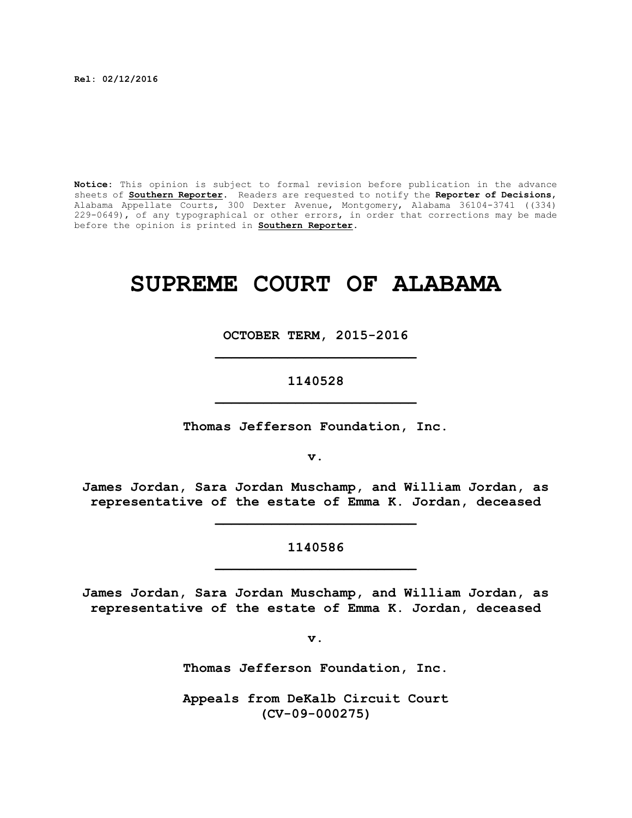**Rel: 02/12/2016**

**Notice:** This opinion is subject to formal revision before publication in the advance sheets of **Southern Reporter**. Readers are requested to notify the **Reporter of Decisions**, Alabama Appellate Courts, 300 Dexter Avenue, Montgomery, Alabama 36104-3741 ((334) 229-0649), of any typographical or other errors, in order that corrections may be made before the opinion is printed in **Southern Reporter**.

# **SUPREME COURT OF ALABAMA**

**OCTOBER TERM, 2015-2016 \_\_\_\_\_\_\_\_\_\_\_\_\_\_\_\_\_\_\_\_\_\_\_\_\_**

# **1140528 \_\_\_\_\_\_\_\_\_\_\_\_\_\_\_\_\_\_\_\_\_\_\_\_\_**

**Thomas Jefferson Foundation, Inc.**

**v.**

**James Jordan, Sara Jordan Muschamp, and William Jordan, as representative of the estate of Emma K. Jordan, deceased**

**\_\_\_\_\_\_\_\_\_\_\_\_\_\_\_\_\_\_\_\_\_\_\_\_\_**

# **1140586 \_\_\_\_\_\_\_\_\_\_\_\_\_\_\_\_\_\_\_\_\_\_\_\_\_**

**James Jordan, Sara Jordan Muschamp, and William Jordan, as representative of the estate of Emma K. Jordan, deceased**

**v.**

**Thomas Jefferson Foundation, Inc.**

**Appeals from DeKalb Circuit Court (CV-09-000275)**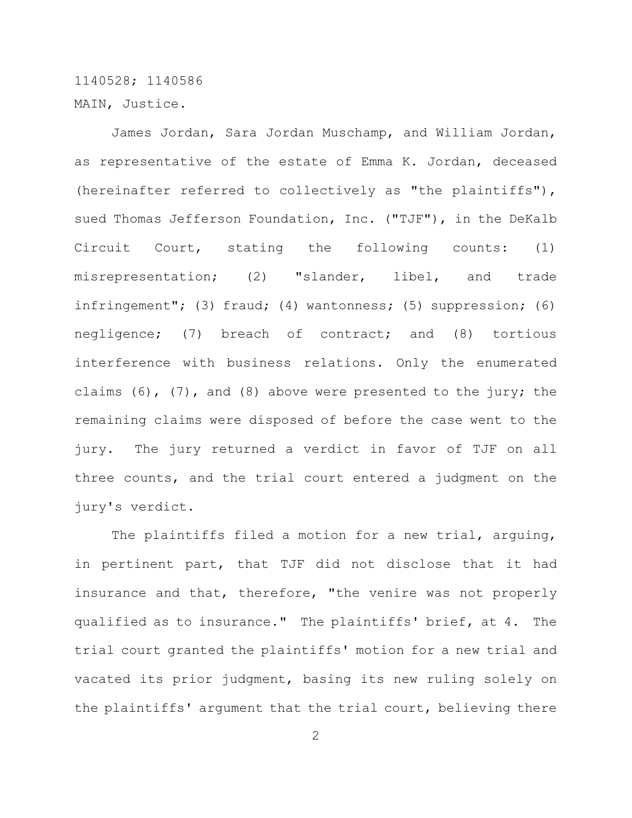1140528; 1140586 MAIN, Justice.

James Jordan, Sara Jordan Muschamp, and William Jordan, as representative of the estate of Emma K. Jordan, deceased (hereinafter referred to collectively as "the plaintiffs"), sued Thomas Jefferson Foundation, Inc. ("TJF"), in the DeKalb Circuit Court, stating the following counts: (1) misrepresentation; (2) "slander, libel, and trade infringement"; (3) fraud; (4) wantonness; (5) suppression; (6) negligence; (7) breach of contract; and (8) tortious interference with business relations. Only the enumerated claims  $(6)$ ,  $(7)$ , and  $(8)$  above were presented to the jury; the remaining claims were disposed of before the case went to the jury. The jury returned a verdict in favor of TJF on all three counts, and the trial court entered a judgment on the jury's verdict.

The plaintiffs filed a motion for a new trial, arguing, in pertinent part, that TJF did not disclose that it had insurance and that, therefore, "the venire was not properly qualified as to insurance." The plaintiffs' brief, at 4. The trial court granted the plaintiffs' motion for a new trial and vacated its prior judgment, basing its new ruling solely on the plaintiffs' argument that the trial court, believing there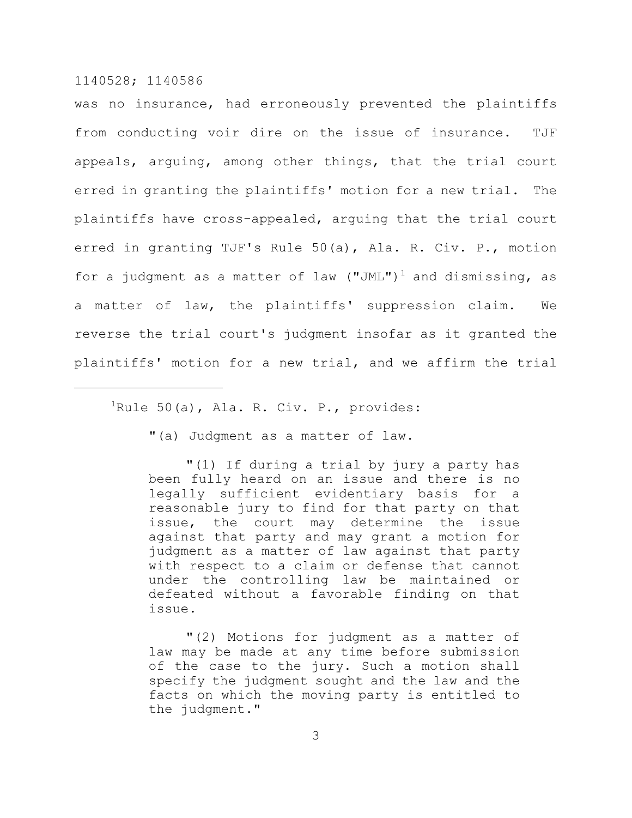was no insurance, had erroneously prevented the plaintiffs from conducting voir dire on the issue of insurance. TJF appeals, arguing, among other things, that the trial court erred in granting the plaintiffs' motion for a new trial. The plaintiffs have cross-appealed, arguing that the trial court erred in granting TJF's Rule 50(a), Ala. R. Civ. P., motion for a judgment as a matter of law ("JML")<sup>1</sup> and dismissing, as a matter of law, the plaintiffs' suppression claim. We reverse the trial court's judgment insofar as it granted the plaintiffs' motion for a new trial, and we affirm the trial

<sup>1</sup>Rule 50(a), Ala. R. Civ. P., provides:

"(a) Judgment as a matter of law.

"(1) If during a trial by jury a party has been fully heard on an issue and there is no legally sufficient evidentiary basis for a reasonable jury to find for that party on that issue, the court may determine the issue against that party and may grant a motion for judgment as a matter of law against that party with respect to a claim or defense that cannot under the controlling law be maintained or defeated without a favorable finding on that issue.

"(2) Motions for judgment as a matter of law may be made at any time before submission of the case to the jury. Such a motion shall specify the judgment sought and the law and the facts on which the moving party is entitled to the judgment."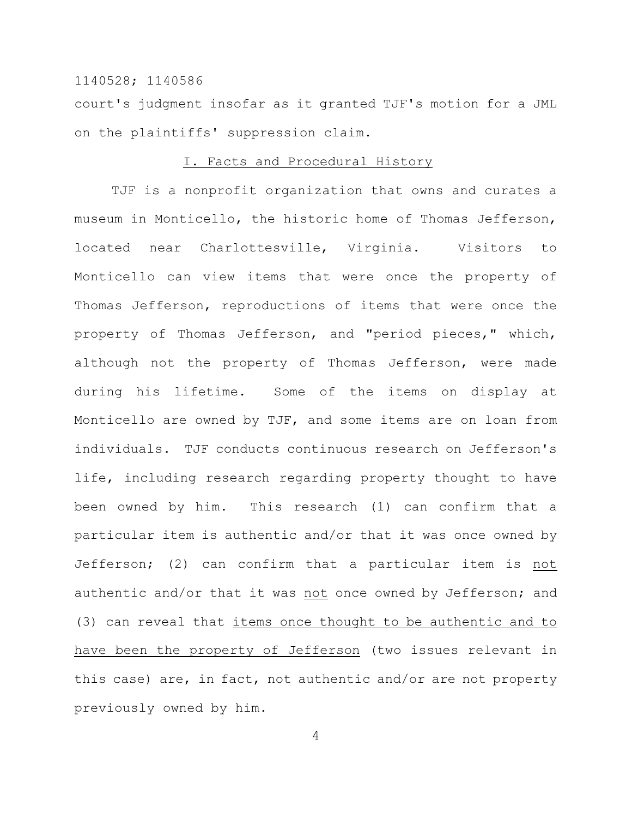court's judgment insofar as it granted TJF's motion for a JML on the plaintiffs' suppression claim.

#### I. Facts and Procedural History

TJF is a nonprofit organization that owns and curates a museum in Monticello, the historic home of Thomas Jefferson, located near Charlottesville, Virginia. Visitors to Monticello can view items that were once the property of Thomas Jefferson, reproductions of items that were once the property of Thomas Jefferson, and "period pieces," which, although not the property of Thomas Jefferson, were made during his lifetime. Some of the items on display at Monticello are owned by TJF, and some items are on loan from individuals. TJF conducts continuous research on Jefferson's life, including research regarding property thought to have been owned by him. This research (1) can confirm that a particular item is authentic and/or that it was once owned by Jefferson; (2) can confirm that a particular item is not authentic and/or that it was not once owned by Jefferson; and (3) can reveal that items once thought to be authentic and to have been the property of Jefferson (two issues relevant in this case) are, in fact, not authentic and/or are not property previously owned by him.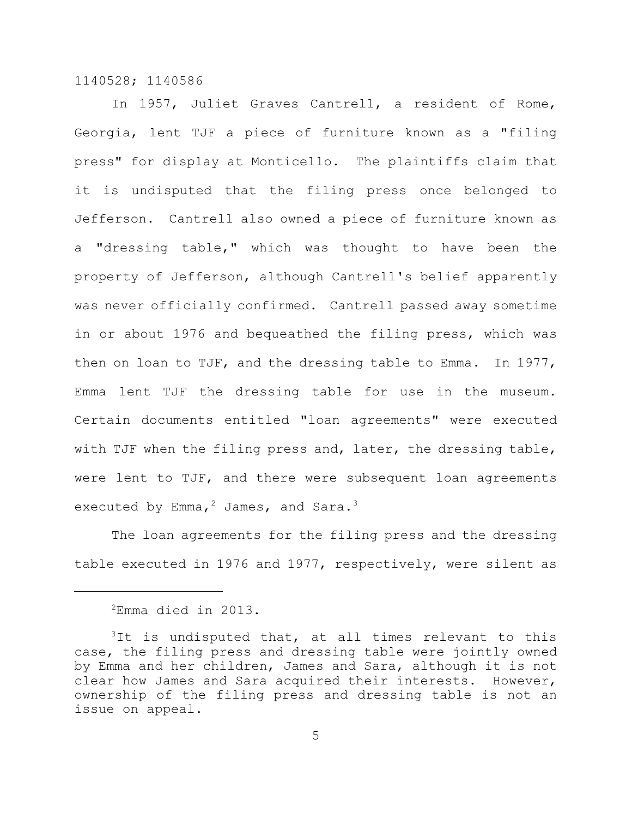In 1957, Juliet Graves Cantrell, a resident of Rome, Georgia, lent TJF a piece of furniture known as a "filing press" for display at Monticello. The plaintiffs claim that it is undisputed that the filing press once belonged to Jefferson. Cantrell also owned a piece of furniture known as a "dressing table," which was thought to have been the property of Jefferson, although Cantrell's belief apparently was never officially confirmed. Cantrell passed away sometime in or about 1976 and bequeathed the filing press, which was then on loan to TJF, and the dressing table to Emma. In 1977, Emma lent TJF the dressing table for use in the museum. Certain documents entitled "loan agreements" were executed with TJF when the filing press and, later, the dressing table, were lent to TJF, and there were subsequent loan agreements executed by Emma,  $2$  James, and Sara.<sup>3</sup>

The loan agreements for the filing press and the dressing table executed in 1976 and 1977, respectively, were silent as

 $2$ Emma died in 2013.

 $3$ It is undisputed that, at all times relevant to this case, the filing press and dressing table were jointly owned by Emma and her children, James and Sara, although it is not clear how James and Sara acquired their interests. However, ownership of the filing press and dressing table is not an issue on appeal.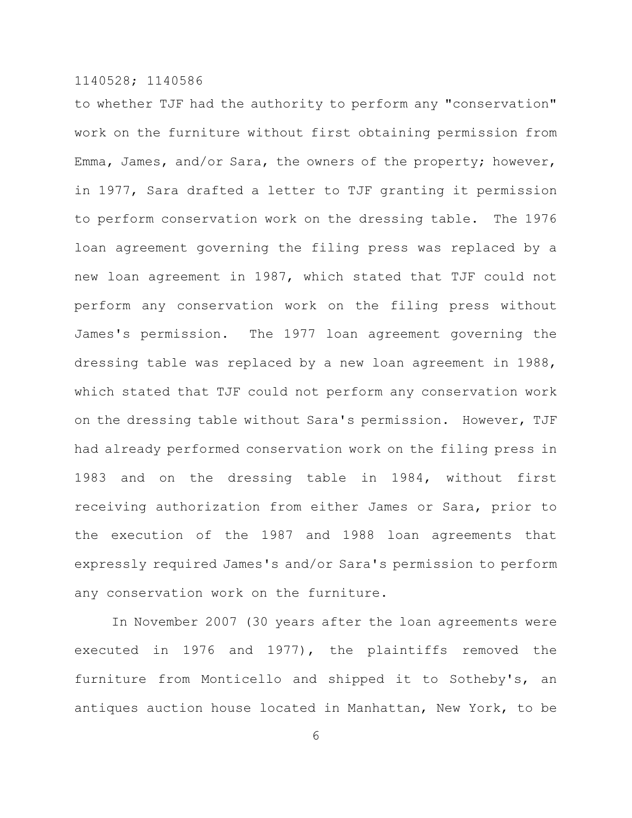to whether TJF had the authority to perform any "conservation" work on the furniture without first obtaining permission from Emma, James, and/or Sara, the owners of the property; however, in 1977, Sara drafted a letter to TJF granting it permission to perform conservation work on the dressing table. The 1976 loan agreement governing the filing press was replaced by a new loan agreement in 1987, which stated that TJF could not perform any conservation work on the filing press without James's permission. The 1977 loan agreement governing the dressing table was replaced by a new loan agreement in 1988, which stated that TJF could not perform any conservation work on the dressing table without Sara's permission. However, TJF had already performed conservation work on the filing press in 1983 and on the dressing table in 1984, without first receiving authorization from either James or Sara, prior to the execution of the 1987 and 1988 loan agreements that expressly required James's and/or Sara's permission to perform any conservation work on the furniture.

In November 2007 (30 years after the loan agreements were executed in 1976 and 1977), the plaintiffs removed the furniture from Monticello and shipped it to Sotheby's, an antiques auction house located in Manhattan, New York, to be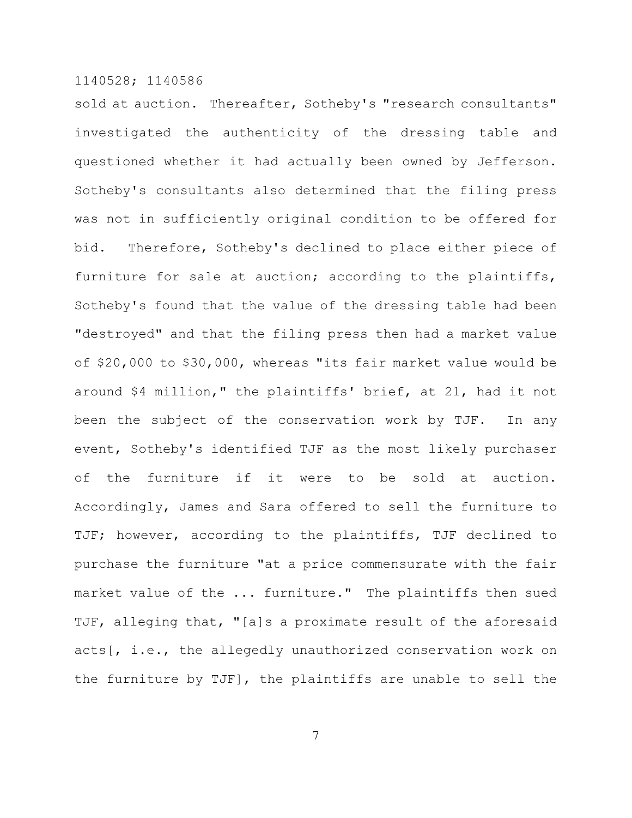sold at auction. Thereafter, Sotheby's "research consultants" investigated the authenticity of the dressing table and questioned whether it had actually been owned by Jefferson. Sotheby's consultants also determined that the filing press was not in sufficiently original condition to be offered for bid. Therefore, Sotheby's declined to place either piece of furniture for sale at auction; according to the plaintiffs, Sotheby's found that the value of the dressing table had been "destroyed" and that the filing press then had a market value of \$20,000 to \$30,000, whereas "its fair market value would be around \$4 million," the plaintiffs' brief, at 21, had it not been the subject of the conservation work by TJF. In any event, Sotheby's identified TJF as the most likely purchaser of the furniture if it were to be sold at auction. Accordingly, James and Sara offered to sell the furniture to TJF; however, according to the plaintiffs, TJF declined to purchase the furniture "at a price commensurate with the fair market value of the ... furniture." The plaintiffs then sued TJF, alleging that, "[a]s a proximate result of the aforesaid acts[, i.e., the allegedly unauthorized conservation work on the furniture by TJF], the plaintiffs are unable to sell the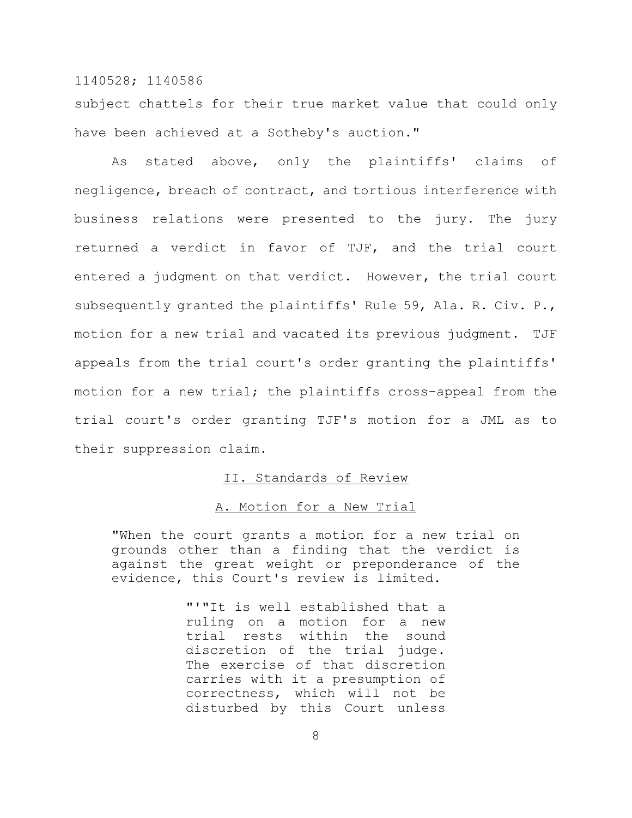subject chattels for their true market value that could only have been achieved at a Sotheby's auction."

As stated above, only the plaintiffs' claims of negligence, breach of contract, and tortious interference with business relations were presented to the jury. The jury returned a verdict in favor of TJF, and the trial court entered a judgment on that verdict. However, the trial court subsequently granted the plaintiffs' Rule 59, Ala. R. Civ. P., motion for a new trial and vacated its previous judgment. TJF appeals from the trial court's order granting the plaintiffs' motion for a new trial; the plaintiffs cross-appeal from the trial court's order granting TJF's motion for a JML as to their suppression claim.

#### II. Standards of Review

## A. Motion for a New Trial

"When the court grants a motion for a new trial on grounds other than a finding that the verdict is against the great weight or preponderance of the evidence, this Court's review is limited.

> "'"It is well established that a ruling on a motion for a new trial rests within the sound discretion of the trial judge. The exercise of that discretion carries with it a presumption of correctness, which will not be disturbed by this Court unless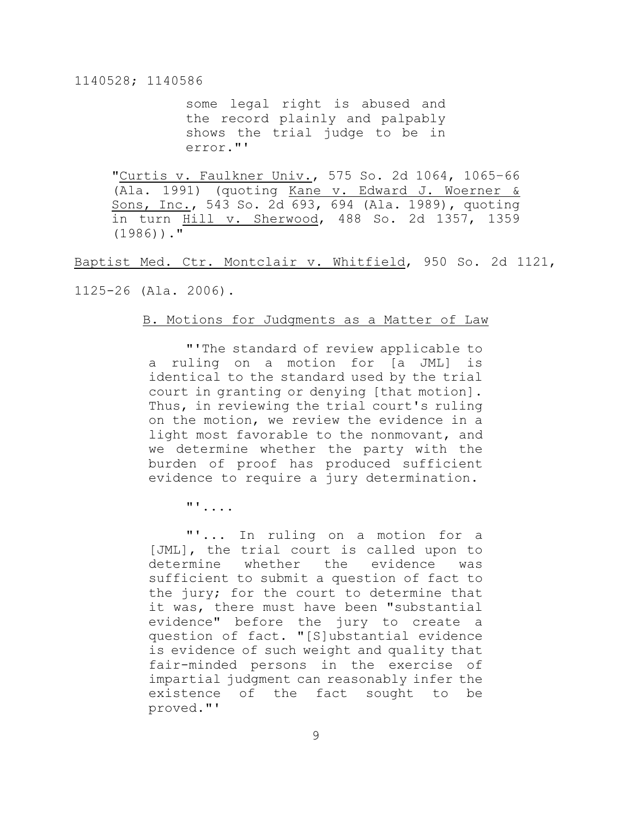some legal right is abused and the record plainly and palpably shows the trial judge to be in error."'

"Curtis v. Faulkner Univ., 575 So. 2d 1064, 1065–66 (Ala. 1991) (quoting Kane v. Edward J. Woerner & Sons, Inc., 543 So. 2d 693, 694 (Ala. 1989), quoting in turn Hill v. Sherwood, 488 So. 2d 1357, 1359  $(1986)$ )."

Baptist Med. Ctr. Montclair v. Whitfield, 950 So. 2d 1121,

1125-26 (Ala. 2006).

## B. Motions for Judgments as a Matter of Law

"'The standard of review applicable to a ruling on a motion for [a JML] is identical to the standard used by the trial court in granting or denying [that motion]. Thus, in reviewing the trial court's ruling on the motion, we review the evidence in a light most favorable to the nonmovant, and we determine whether the party with the burden of proof has produced sufficient evidence to require a jury determination.

"'....

"'... In ruling on a motion for a [JML], the trial court is called upon to determine whether the evidence was sufficient to submit a question of fact to the jury; for the court to determine that it was, there must have been "substantial evidence" before the jury to create a question of fact. "[S]ubstantial evidence is evidence of such weight and quality that fair-minded persons in the exercise of impartial judgment can reasonably infer the existence of the fact sought to be proved."'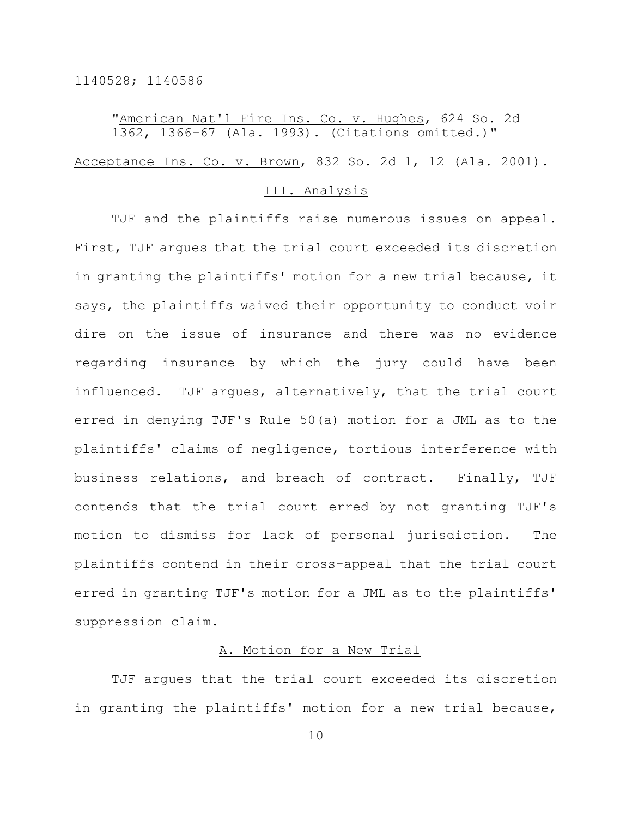"American Nat'l Fire Ins. Co. v. Hughes, 624 So. 2d 1362, 1366–67 (Ala. 1993). (Citations omitted.)" Acceptance Ins. Co. v. Brown, 832 So. 2d 1, 12 (Ala. 2001).

#### III. Analysis

TJF and the plaintiffs raise numerous issues on appeal. First, TJF argues that the trial court exceeded its discretion in granting the plaintiffs' motion for a new trial because, it says, the plaintiffs waived their opportunity to conduct voir dire on the issue of insurance and there was no evidence regarding insurance by which the jury could have been influenced. TJF argues, alternatively, that the trial court erred in denying TJF's Rule 50(a) motion for a JML as to the plaintiffs' claims of negligence, tortious interference with business relations, and breach of contract. Finally, TJF contends that the trial court erred by not granting TJF's motion to dismiss for lack of personal jurisdiction. The plaintiffs contend in their cross-appeal that the trial court erred in granting TJF's motion for a JML as to the plaintiffs' suppression claim.

#### A. Motion for a New Trial

TJF argues that the trial court exceeded its discretion in granting the plaintiffs' motion for a new trial because,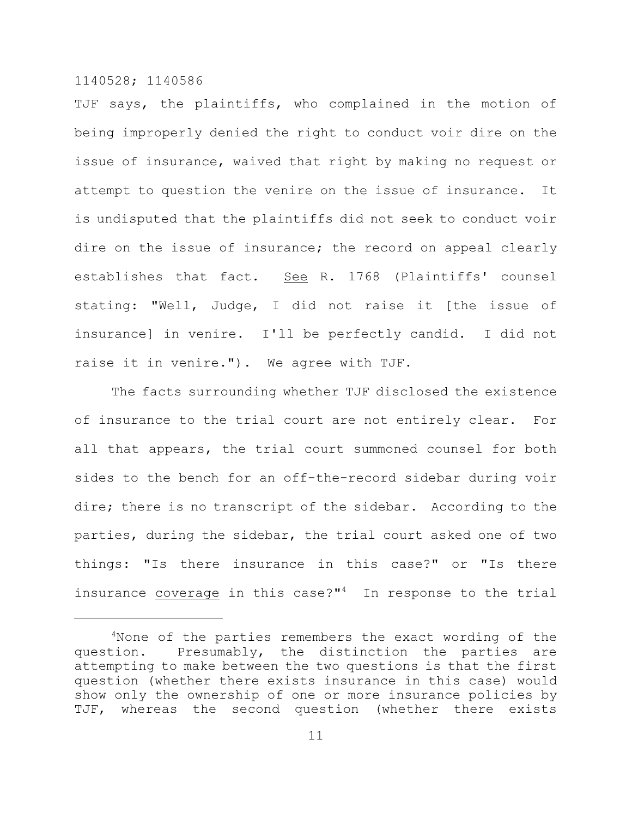TJF says, the plaintiffs, who complained in the motion of being improperly denied the right to conduct voir dire on the issue of insurance, waived that right by making no request or attempt to question the venire on the issue of insurance. It is undisputed that the plaintiffs did not seek to conduct voir dire on the issue of insurance; the record on appeal clearly establishes that fact. See R. 1768 (Plaintiffs' counsel stating: "Well, Judge, I did not raise it [the issue of insurance] in venire. I'll be perfectly candid. I did not raise it in venire."). We agree with TJF.

The facts surrounding whether TJF disclosed the existence of insurance to the trial court are not entirely clear. For all that appears, the trial court summoned counsel for both sides to the bench for an off-the-record sidebar during voir dire; there is no transcript of the sidebar. According to the parties, during the sidebar, the trial court asked one of two things: "Is there insurance in this case?" or "Is there insurance coverage in this case?" $4$  In response to the trial

 $4$ None of the parties remembers the exact wording of the question. Presumably, the distinction the parties are attempting to make between the two questions is that the first question (whether there exists insurance in this case) would show only the ownership of one or more insurance policies by TJF, whereas the second question (whether there exists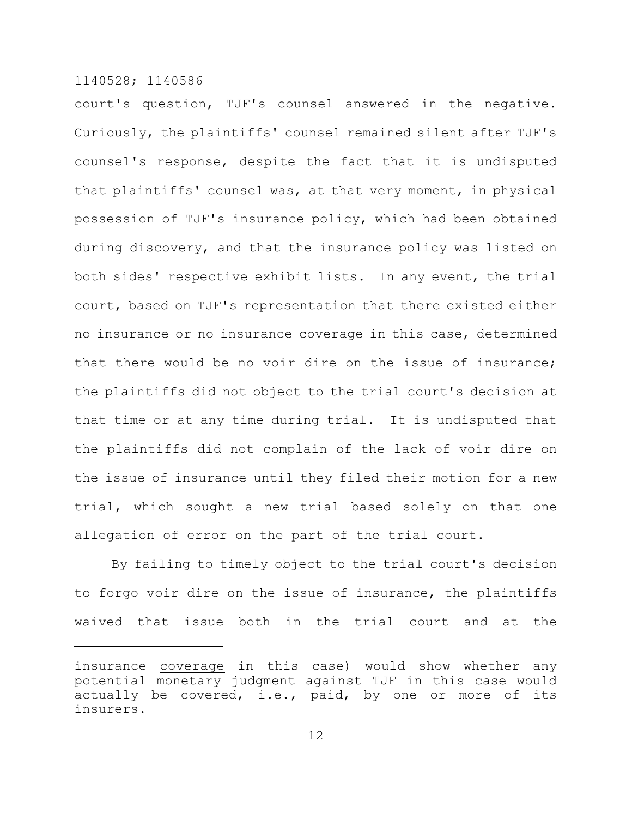court's question, TJF's counsel answered in the negative. Curiously, the plaintiffs' counsel remained silent after TJF's counsel's response, despite the fact that it is undisputed that plaintiffs' counsel was, at that very moment, in physical possession of TJF's insurance policy, which had been obtained during discovery, and that the insurance policy was listed on both sides' respective exhibit lists. In any event, the trial court, based on TJF's representation that there existed either no insurance or no insurance coverage in this case, determined that there would be no voir dire on the issue of insurance; the plaintiffs did not object to the trial court's decision at that time or at any time during trial. It is undisputed that the plaintiffs did not complain of the lack of voir dire on the issue of insurance until they filed their motion for a new trial, which sought a new trial based solely on that one allegation of error on the part of the trial court.

By failing to timely object to the trial court's decision to forgo voir dire on the issue of insurance, the plaintiffs waived that issue both in the trial court and at the

insurance coverage in this case) would show whether any potential monetary judgment against TJF in this case would actually be covered, i.e., paid, by one or more of its insurers.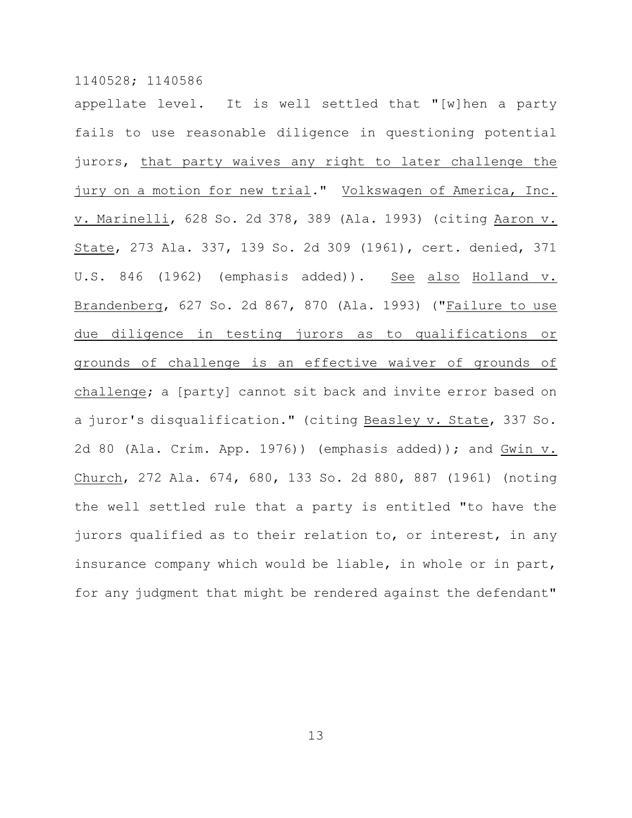appellate level. It is well settled that "[w]hen a party fails to use reasonable diligence in questioning potential jurors, that party waives any right to later challenge the jury on a motion for new trial." Volkswagen of America, Inc. v. Marinelli, 628 So. 2d 378, 389 (Ala. 1993) (citing Aaron v. State, 273 Ala. 337, 139 So. 2d 309 (1961), cert. denied, 371 U.S. 846 (1962) (emphasis added)). See also Holland v. Brandenberg, 627 So. 2d 867, 870 (Ala. 1993) ("Failure to use due diligence in testing jurors as to qualifications or grounds of challenge is an effective waiver of grounds of challenge; a [party] cannot sit back and invite error based on a juror's disqualification." (citing Beasley v. State, 337 So. 2d 80 (Ala. Crim. App. 1976)) (emphasis added)); and Gwin v. Church, 272 Ala. 674, 680, 133 So. 2d 880, 887 (1961) (noting the well settled rule that a party is entitled "to have the jurors qualified as to their relation to, or interest, in any insurance company which would be liable, in whole or in part, for any judgment that might be rendered against the defendant"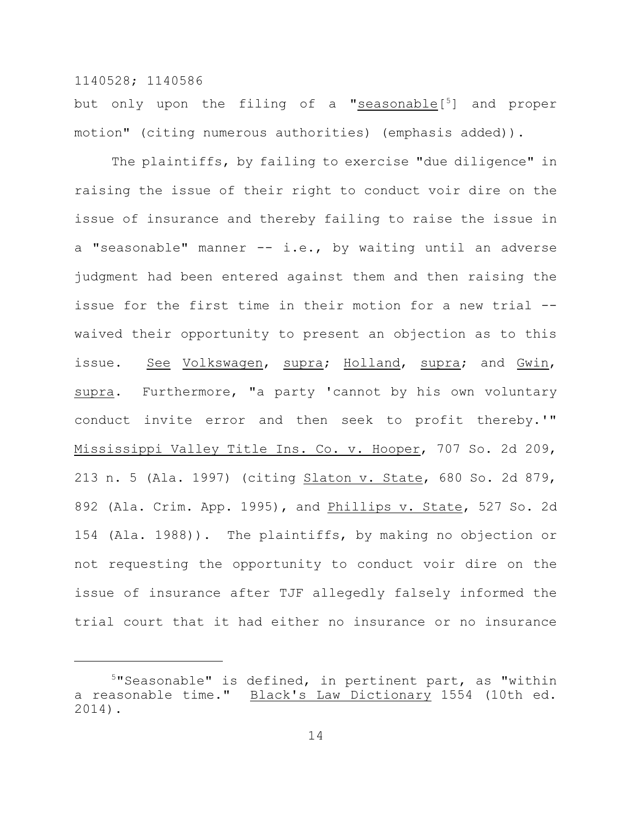but only upon the filing of a "seasonable[5] and proper motion" (citing numerous authorities) (emphasis added)).

The plaintiffs, by failing to exercise "due diligence" in raising the issue of their right to conduct voir dire on the issue of insurance and thereby failing to raise the issue in a "seasonable" manner -- i.e., by waiting until an adverse judgment had been entered against them and then raising the issue for the first time in their motion for a new trial - waived their opportunity to present an objection as to this issue. See Volkswagen, supra; Holland, supra; and Gwin, supra. Furthermore, "a party 'cannot by his own voluntary conduct invite error and then seek to profit thereby.'" Mississippi Valley Title Ins. Co. v. Hooper, 707 So. 2d 209, 213 n. 5 (Ala. 1997) (citing Slaton v. State, 680 So. 2d 879, 892 (Ala. Crim. App. 1995), and Phillips v. State, 527 So. 2d 154 (Ala. 1988)). The plaintiffs, by making no objection or not requesting the opportunity to conduct voir dire on the issue of insurance after TJF allegedly falsely informed the trial court that it had either no insurance or no insurance

 $5"$ Seasonable" is defined, in pertinent part, as "within a reasonable time." Black's Law Dictionary 1554 (10th ed. 2014).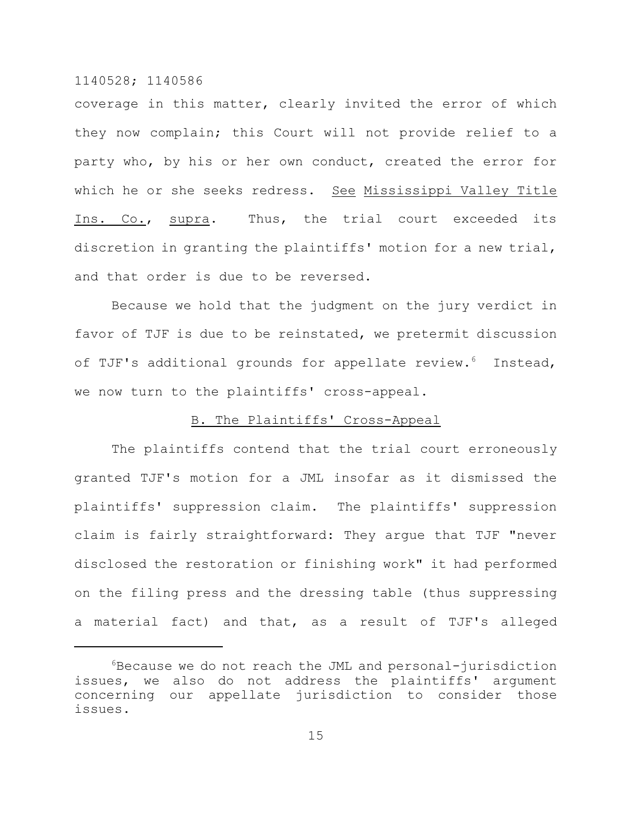coverage in this matter, clearly invited the error of which they now complain; this Court will not provide relief to a party who, by his or her own conduct, created the error for which he or she seeks redress. See Mississippi Valley Title Ins. Co., supra. Thus, the trial court exceeded its discretion in granting the plaintiffs' motion for a new trial, and that order is due to be reversed.

Because we hold that the judgment on the jury verdict in favor of TJF is due to be reinstated, we pretermit discussion of TJF's additional grounds for appellate review.<sup>6</sup> Instead, we now turn to the plaintiffs' cross-appeal.

#### B. The Plaintiffs' Cross-Appeal

The plaintiffs contend that the trial court erroneously granted TJF's motion for a JML insofar as it dismissed the plaintiffs' suppression claim. The plaintiffs' suppression claim is fairly straightforward: They argue that TJF "never disclosed the restoration or finishing work" it had performed on the filing press and the dressing table (thus suppressing a material fact) and that, as a result of TJF's alleged

 $6$ Because we do not reach the JML and personal-jurisdiction issues, we also do not address the plaintiffs' argument concerning our appellate jurisdiction to consider those issues.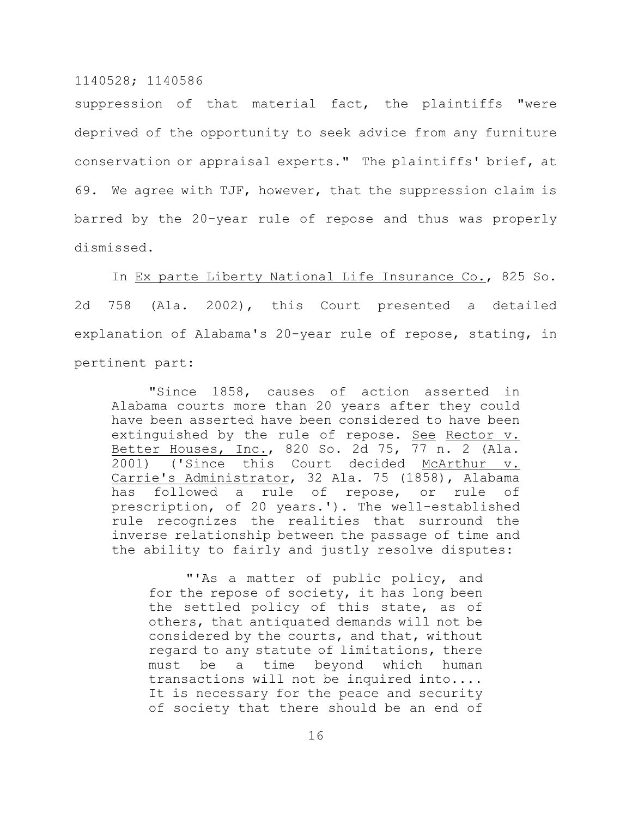suppression of that material fact, the plaintiffs "were deprived of the opportunity to seek advice from any furniture conservation or appraisal experts." The plaintiffs' brief, at 69. We agree with TJF, however, that the suppression claim is barred by the 20-year rule of repose and thus was properly dismissed.

In Ex parte Liberty National Life Insurance Co., 825 So. 2d 758 (Ala. 2002), this Court presented a detailed explanation of Alabama's 20-year rule of repose, stating, in pertinent part:

"Since 1858, causes of action asserted in Alabama courts more than 20 years after they could have been asserted have been considered to have been extinguished by the rule of repose. See Rector v. Better Houses, Inc., 820 So. 2d 75, 77 n. 2 (Ala. 2001) ('Since this Court decided McArthur v. Carrie's Administrator, 32 Ala. 75 (1858), Alabama has followed a rule of repose, or rule of prescription, of 20 years.'). The well-established rule recognizes the realities that surround the inverse relationship between the passage of time and the ability to fairly and justly resolve disputes:

"'As a matter of public policy, and for the repose of society, it has long been the settled policy of this state, as of others, that antiquated demands will not be considered by the courts, and that, without regard to any statute of limitations, there must be a time beyond which human transactions will not be inquired into.... It is necessary for the peace and security of society that there should be an end of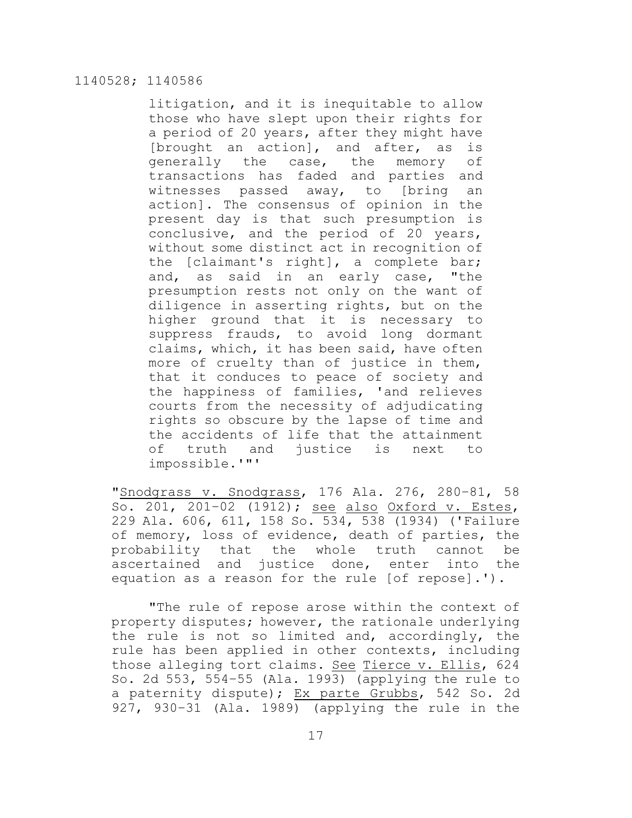litigation, and it is inequitable to allow those who have slept upon their rights for a period of 20 years, after they might have [brought an action], and after, as is generally the case, the memory of transactions has faded and parties and witnesses passed away, to [bring an action]. The consensus of opinion in the present day is that such presumption is conclusive, and the period of 20 years, without some distinct act in recognition of the [claimant's right], a complete bar; and, as said in an early case, "the presumption rests not only on the want of diligence in asserting rights, but on the higher ground that it is necessary to suppress frauds, to avoid long dormant claims, which, it has been said, have often more of cruelty than of justice in them, that it conduces to peace of society and the happiness of families, 'and relieves courts from the necessity of adjudicating rights so obscure by the lapse of time and the accidents of life that the attainment of truth and justice is next to impossible.'"'

"Snodgrass v. Snodgrass, 176 Ala. 276, 280–81, 58 So. 201, 201–02 (1912); see also Oxford v. Estes, 229 Ala. 606, 611, 158 So. 534, 538 (1934) ('Failure of memory, loss of evidence, death of parties, the probability that the whole truth cannot be ascertained and justice done, enter into the equation as a reason for the rule [of repose].').

"The rule of repose arose within the context of property disputes; however, the rationale underlying the rule is not so limited and, accordingly, the rule has been applied in other contexts, including those alleging tort claims. See Tierce v. Ellis, 624 So. 2d 553, 554–55 (Ala. 1993) (applying the rule to a paternity dispute); Ex parte Grubbs, 542 So. 2d 927, 930–31 (Ala. 1989) (applying the rule in the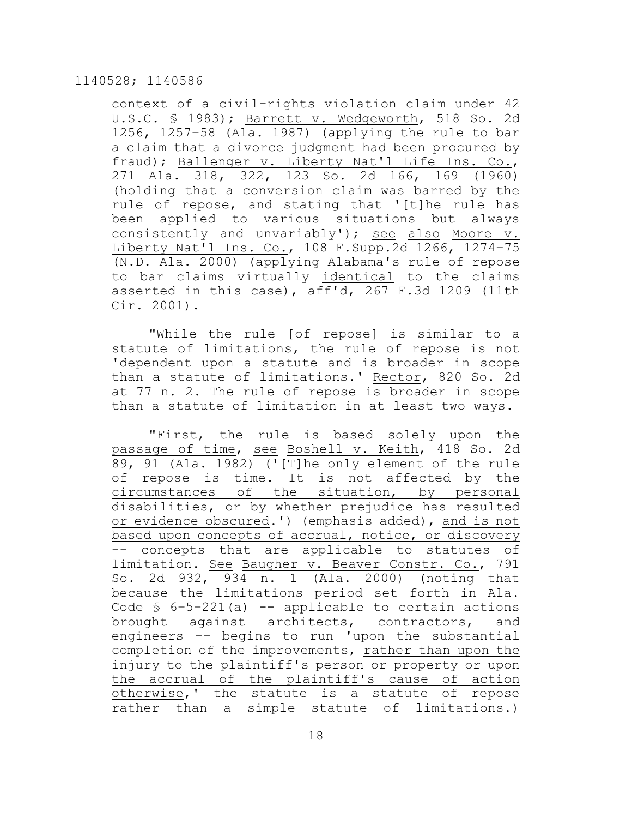context of a civil-rights violation claim under 42 U.S.C. § 1983); Barrett v. Wedgeworth, 518 So. 2d 1256, 1257–58 (Ala. 1987) (applying the rule to bar a claim that a divorce judgment had been procured by fraud); Ballenger v. Liberty Nat'l Life Ins. Co., 271 Ala. 318, 322, 123 So. 2d 166, 169 (1960) (holding that a conversion claim was barred by the rule of repose, and stating that '[t]he rule has been applied to various situations but always consistently and unvariably'); see also Moore v. Liberty Nat'l Ins. Co., 108 F.Supp.2d 1266, 1274–75 (N.D. Ala. 2000) (applying Alabama's rule of repose to bar claims virtually identical to the claims asserted in this case), aff'd, 267 F.3d 1209 (11th Cir. 2001).

"While the rule [of repose] is similar to a statute of limitations, the rule of repose is not 'dependent upon a statute and is broader in scope than a statute of limitations.' Rector, 820 So. 2d at 77 n. 2. The rule of repose is broader in scope than a statute of limitation in at least two ways.

"First, the rule is based solely upon the passage of time, see Boshell v. Keith, 418 So. 2d 89, 91 (Ala. 1982) ('[T]he only element of the rule of repose is time. It is not affected by the circumstances of the situation, by personal disabilities, or by whether prejudice has resulted or evidence obscured.') (emphasis added), and is not based upon concepts of accrual, notice, or discovery -- concepts that are applicable to statutes of limitation. See Baugher v. Beaver Constr. Co., 791 So. 2d 932, 934 n. 1 (Ala. 2000) (noting that because the limitations period set forth in Ala. Code  $\frac{1}{2}$  6-5-221(a) -- applicable to certain actions brought against architects, contractors, and engineers -- begins to run 'upon the substantial completion of the improvements, rather than upon the injury to the plaintiff's person or property or upon the accrual of the plaintiff's cause of action otherwise,' the statute is a statute of repose rather than a simple statute of limitations.)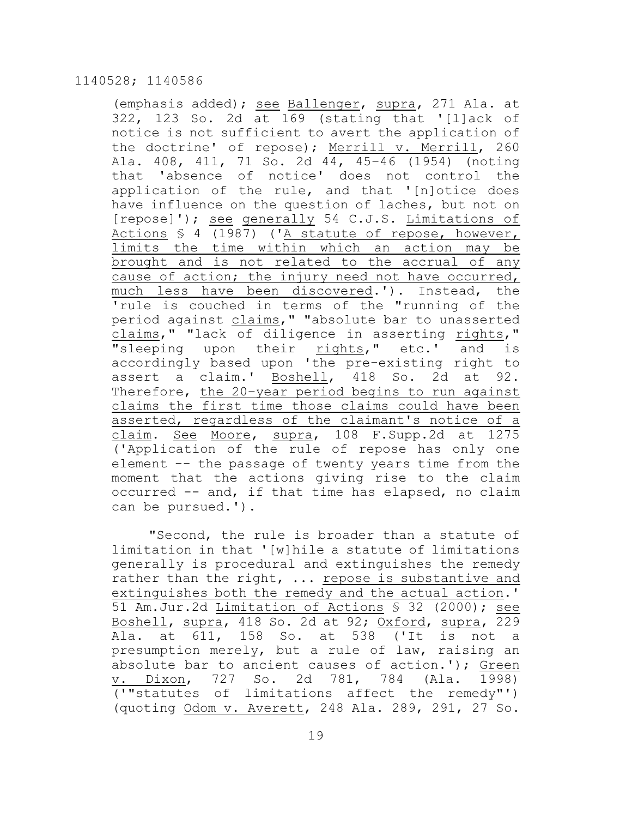(emphasis added); see Ballenger, supra, 271 Ala. at 322, 123 So. 2d at 169 (stating that '[l]ack of notice is not sufficient to avert the application of the doctrine' of repose); Merrill v. Merrill, 260 Ala. 408, 411, 71 So. 2d 44, 45–46 (1954) (noting that 'absence of notice' does not control the application of the rule, and that '[n]otice does have influence on the question of laches, but not on [repose]'); see generally 54 C.J.S. Limitations of Actions § 4 (1987) ('A statute of repose, however, limits the time within which an action may be brought and is not related to the accrual of any cause of action; the injury need not have occurred, much less have been discovered.'). Instead, the 'rule is couched in terms of the "running of the period against claims," "absolute bar to unasserted claims," "lack of diligence in asserting rights," "sleeping upon their rights," etc.' and is accordingly based upon 'the pre-existing right to assert a claim.' Boshell, 418 So. 2d at 92. Therefore, the 20–year period begins to run against claims the first time those claims could have been asserted, regardless of the claimant's notice of a claim. See Moore, supra, 108 F.Supp.2d at 1275 ('Application of the rule of repose has only one element -- the passage of twenty years time from the moment that the actions giving rise to the claim occurred -- and, if that time has elapsed, no claim can be pursued.').

"Second, the rule is broader than a statute of limitation in that '[w]hile a statute of limitations generally is procedural and extinguishes the remedy rather than the right, ... repose is substantive and extinguishes both the remedy and the actual action.' 51 Am.Jur.2d Limitation of Actions § 32 (2000); see Boshell, supra, 418 So. 2d at 92; Oxford, supra, 229 Ala. at 611, 158 So. at 538 ('It is not a presumption merely, but a rule of law, raising an absolute bar to ancient causes of action.'); Green v. Dixon, 727 So. 2d 781, 784 (Ala. 1998) ('"statutes of limitations affect the remedy"') (quoting Odom v. Averett, 248 Ala. 289, 291, 27 So.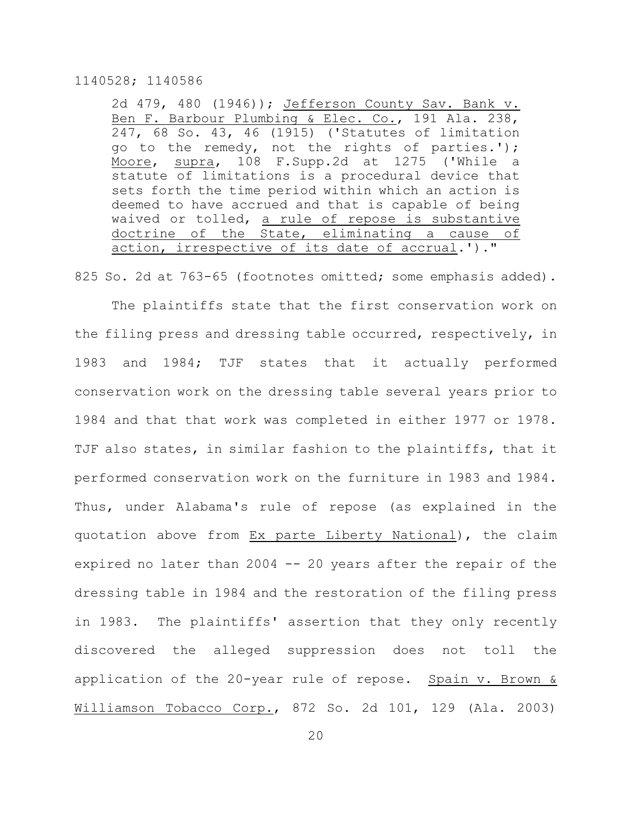2d 479, 480 (1946)); Jefferson County Sav. Bank v. Ben F. Barbour Plumbing & Elec. Co., 191 Ala. 238, 247, 68 So. 43, 46 (1915) ('Statutes of limitation go to the remedy, not the rights of parties.'); Moore, supra, 108 F.Supp.2d at 1275 ('While a statute of limitations is a procedural device that sets forth the time period within which an action is deemed to have accrued and that is capable of being waived or tolled, a rule of repose is substantive doctrine of the State, eliminating a cause of action, irrespective of its date of accrual.')."

825 So. 2d at 763-65 (footnotes omitted; some emphasis added).

The plaintiffs state that the first conservation work on the filing press and dressing table occurred, respectively, in 1983 and 1984; TJF states that it actually performed conservation work on the dressing table several years prior to 1984 and that that work was completed in either 1977 or 1978. TJF also states, in similar fashion to the plaintiffs, that it performed conservation work on the furniture in 1983 and 1984. Thus, under Alabama's rule of repose (as explained in the quotation above from Ex parte Liberty National), the claim expired no later than 2004 -- 20 years after the repair of the dressing table in 1984 and the restoration of the filing press in 1983. The plaintiffs' assertion that they only recently discovered the alleged suppression does not toll the application of the 20-year rule of repose. Spain v. Brown & Williamson Tobacco Corp., 872 So. 2d 101, 129 (Ala. 2003)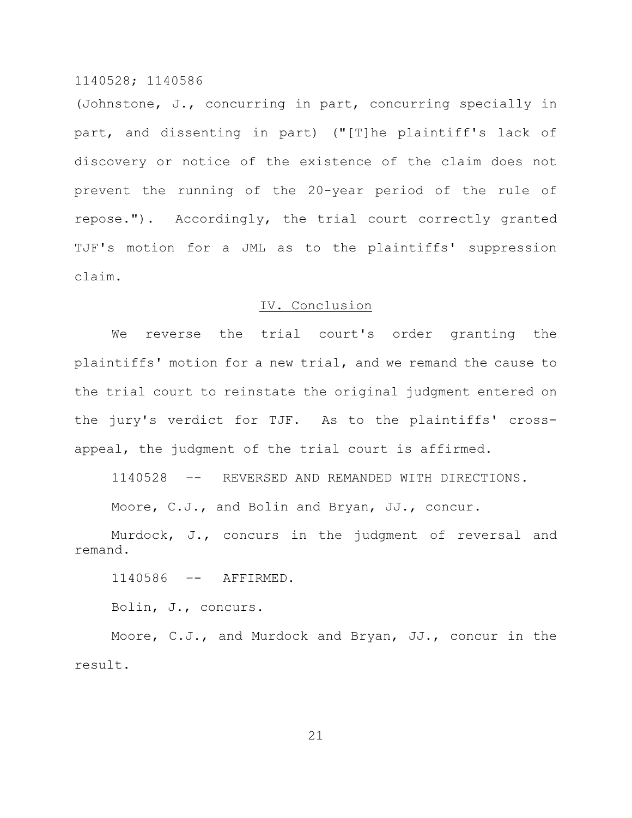(Johnstone, J., concurring in part, concurring specially in part, and dissenting in part) ("[T]he plaintiff's lack of discovery or notice of the existence of the claim does not prevent the running of the 20-year period of the rule of repose."). Accordingly, the trial court correctly granted TJF's motion for a JML as to the plaintiffs' suppression claim.

#### IV. Conclusion

We reverse the trial court's order granting the plaintiffs' motion for a new trial, and we remand the cause to the trial court to reinstate the original judgment entered on the jury's verdict for TJF. As to the plaintiffs' crossappeal, the judgment of the trial court is affirmed.

1140528 –- REVERSED AND REMANDED WITH DIRECTIONS.

Moore, C.J., and Bolin and Bryan, JJ., concur.

Murdock, J., concurs in the judgment of reversal and remand.

1140586 –- AFFIRMED.

Bolin, J., concurs.

Moore, C.J., and Murdock and Bryan, JJ., concur in the result.